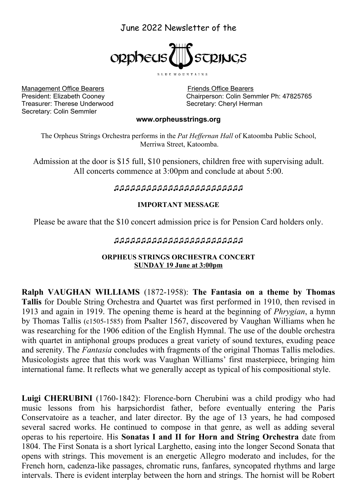# June 2022 Newsletter of the



BLUE MOUNTAINS

Management Office Bearers Friends Office Bearers Treasurer: Therese Underwood Secretary: Cheryl Herman Secretary: Colin Semmler

President: Elizabeth Cooney Chairperson: Colin Semmler Ph: 47825765

#### **[www.orpheusstrings.org](http://www.orpheusstrings.org/)**

The Orpheus Strings Orchestra performs in the *Pat Heffernan Hall* of Katoomba Public School, Merriwa Street, Katoomba.

Admission at the door is \$15 full, \$10 pensioners, children free with supervising adult. All concerts commence at 3:00pm and conclude at about 5:00.

### *♫♫♫♫♫♫♫♫♫♫♫♫♫♫♫♫♫♫♫♫♫♫♫♫*

#### **IMPORTANT MESSAGE**

Please be aware that the \$10 concert admission price is for Pension Card holders only.

### *♫♫♫♫♫♫♫♫♫♫♫♫♫♫♫♫♫♫♫♫♫♫♫♫*

#### **ORPHEUS STRINGS ORCHESTRA CONCERT SUNDAY 19 June at 3:00pm**

**Ralph VAUGHAN WILLIAMS** (1872-1958): **The Fantasia on a theme by Thomas Tallis** for Double String Orchestra and Quartet was first performed in 1910, then revised in 1913 and again in 1919. The opening theme is heard at the beginning of *Phrygian*, a hymn by Thomas Tallis (c1505-1585) from Psalter 1567, discovered by Vaughan Williams when he was researching for the 1906 edition of the English Hymnal. The use of the double orchestra with quartet in antiphonal groups produces a great variety of sound textures, exuding peace and serenity. The *Fantasia* concludes with fragments of the original Thomas Tallis melodies. Musicologists agree that this work was Vaughan Williams' first masterpiece, bringing him international fame. It reflects what we generally accept as typical of his compositional style.

**Luigi CHERUBINI** (1760-1842): Florence-born Cherubini was a child prodigy who had music lessons from his harpsichordist father, before eventually entering the Paris Conservatoire as a teacher, and later director. By the age of 13 years, he had composed several sacred works. He continued to compose in that genre, as well as adding several operas to his repertoire. His **Sonatas I and II for Horn and String Orchestra** date from 1804. The First Sonata is a short lyrical Larghetto, easing into the longer Second Sonata that opens with strings. This movement is an energetic Allegro moderato and includes, for the French horn, cadenza-like passages, chromatic runs, fanfares, syncopated rhythms and large intervals. There is evident interplay between the horn and strings. The hornist will be Robert